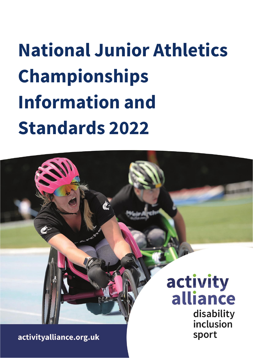# **National Junior Athletics Championships Information and Standards 2022**

activity alliance disability inclusion sport

activityalliance.org.uk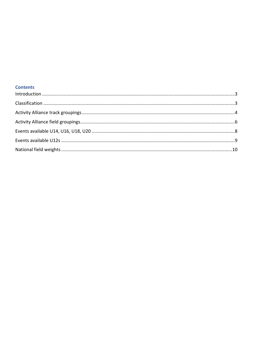#### **Contents**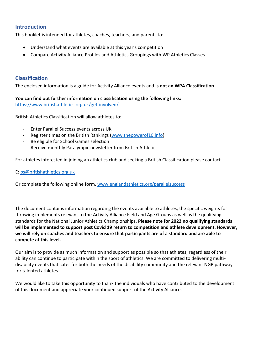### <span id="page-2-0"></span>**Introduction**

This booklet is intended for athletes, coaches, teachers, and parents to:

- Understand what events are available at this year's competition
- Compare Activity Alliance Profiles and Athletics Groupings with WP Athletics Classes

## <span id="page-2-1"></span>**Classification**

The enclosed information is a guide for Activity Alliance events and **is not an WPA Classification**

**You can find out further information on classification using the following links:** <https://www.britishathletics.org.uk/get-involved/>

British Athletics Classification will allow athletes to:

- Enter Parallel Success events across UK
- Register times on the British Rankings [\(www.thepowerof10.info\)](http://www.thepowerof10.info/)
- Be eligible for School Games selection
- Receive monthly Paralympic newsletter from British Athletics

For athletes interested in joining an athletics club and seeking a British Classification please contact.

#### E: [ps@britishathletics.org.uk](mailto:ps@britishathletics.org.uk)

Or complete the following online form. [www.englandathletics.org/parallelsuccess](http://www.englandathletics.org/parallelsuccess)

The document contains information regarding the events available to athletes, the specific weights for throwing implements relevant to the Activity Alliance Field and Age Groups as well as the qualifying standards for the National Junior Athletics Championships. **Please note for 2022 no qualifying standards will be implemented to support post Covid 19 return to competition and athlete development. However, we will rely on coaches and teachers to ensure that participants are of a standard and are able to compete at this level.**

Our aim is to provide as much information and support as possible so that athletes, regardless of their ability can continue to participate within the sport of athletics. We are committed to delivering multidisability events that cater for both the needs of the disability community and the relevant NGB pathway for talented athletes.

We would like to take this opportunity to thank the individuals who have contributed to the development of this document and appreciate your continued support of the Activity Alliance.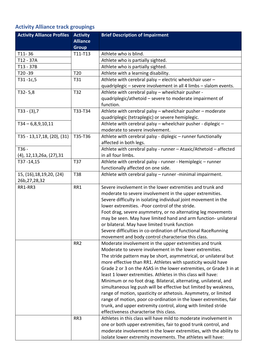# <span id="page-3-0"></span>**Activity Alliance track groupings**

| <b>Activity Alliance Profiles</b> | <b>Activity</b> | <b>Brief Description of Impairment</b>                              |
|-----------------------------------|-----------------|---------------------------------------------------------------------|
|                                   | <b>Alliance</b> |                                                                     |
|                                   | <b>Group</b>    |                                                                     |
| $T11 - 36$                        | T11-T13         | Athlete who is blind.                                               |
| T12 - 37A                         |                 | Athlete who is partially sighted.                                   |
| T13 - 37B                         |                 | Athlete who is partially sighted.                                   |
| T20-39                            | T <sub>20</sub> | Athlete with a learning disability.                                 |
| $T31 - 1c, 5$                     | T31             | Athlete with cerebral palsy - electric wheelchair user -            |
|                                   |                 | quadriplegic - severe involvement in all 4 limbs - slalom events.   |
| $T32 - 5,8$                       | T32             | Athlete with cerebral palsy - wheelchair pusher -                   |
|                                   |                 | quadriplegic/athetoid - severe to moderate impairment of            |
|                                   |                 | function.                                                           |
| $T33 - (3), 7$                    | T33-T34         | Athlete with cerebral palsy - wheelchair pusher - moderate          |
|                                   |                 | quadriplegic (tetraplegic) or severe hemiplegic.                    |
| $T34 - 6,8,9,10,11$               |                 | Athlete with cerebral palsy - wheelchair pusher - diplegic -        |
|                                   |                 | moderate to severe involvement.                                     |
| T35 - 13,17,18, (20), (31)        | T35-T36         | Athlete with cerebral palsy - diplegic - runner functionally        |
|                                   |                 | affected in both legs.                                              |
| T36 -                             |                 | Athlete with cerebral palsy - runner - Ataxic/Athetoid - affected   |
| $(4)$ , 12, 13, 26a, $(27)$ , 31  |                 | in all four limbs.                                                  |
| T37-14,15                         | T37             | Athlete with cerebral palsy - runner - Hemiplegic - runner          |
|                                   |                 | functionally affected on one side.                                  |
| 15, (16), 18, 19, 20, (24)        | T38             | Athlete with cerebral palsy - runner -minimal impairment.           |
| 26b, 27, 28, 32                   |                 |                                                                     |
| RR1-RR3                           | RR1             | Severe involvement in the lower extremities and trunk and           |
|                                   |                 | moderate to severe involvement in the upper extremities.            |
|                                   |                 | Severe difficulty in isolating individual joint movement in the     |
|                                   |                 | lower extremities. - Poor control of the stride.                    |
|                                   |                 | Foot drag, severe asymmetry, or no alternating leg movements        |
|                                   |                 | may be seen. May have limited hand and arm function- unilateral     |
|                                   |                 | or bilateral. May have limited trunk function                       |
|                                   |                 | Severe difficulties in co-ordination of functional RaceRunning      |
|                                   |                 | movement and body control characterise this class.                  |
|                                   | RR <sub>2</sub> | Moderate involvement in the upper extremities and trunk             |
|                                   |                 | Moderate to severe involvement in the lower extremities.            |
|                                   |                 | The stride pattern may be short, asymmetrical, or unilateral but    |
|                                   |                 | more effective than RR1. Athletes with spasticity would have        |
|                                   |                 | Grade 2 or 3 on the ASAS in the lower extremities, or Grade 3 in at |
|                                   |                 | least 1 lower extremities. Athletes in this class will have:        |
|                                   |                 | Minimum or no foot drag. Bilateral, alternating, unilateral, and    |
|                                   |                 | simultaneous leg push will be effective but limited by weakness,    |
|                                   |                 | range of motion, spasticity or athetosis. Asymmetry, or limited     |
|                                   |                 | range of motion, poor co-ordination in the lower extremities, fair  |
|                                   |                 | trunk, and upper extremity control, along with limited stride       |
|                                   |                 | effectiveness characterise this class.                              |
|                                   | RR <sub>3</sub> | Athletes in this class will have mild to moderate involvement in    |
|                                   |                 | one or both upper extremities, fair to good trunk control, and      |
|                                   |                 | moderate involvement in the lower extremities, with the ability to  |
|                                   |                 | isolate lower extremity movements. The athletes will have:          |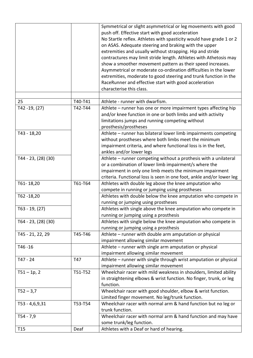|                     |         | Symmetrical or slight asymmetrical or leg movements with good<br>push off. Effective start with good acceleration<br>No Startle reflex. Athletes with spasticity would have grade 1 or 2<br>on ASAS. Adequate steering and braking with the upper<br>extremities and usually without strapping. Hip and stride<br>contractures may limit stride length. Athletes with Athetosis may<br>show a smoother movement pattern as their speed increases.<br>Asymmetrical or moderate co-ordination difficulties in the lower<br>extremities, moderate to good steering and trunk function in the<br>RaceRunner and effective start with good acceleration<br>characterise this class. |
|---------------------|---------|--------------------------------------------------------------------------------------------------------------------------------------------------------------------------------------------------------------------------------------------------------------------------------------------------------------------------------------------------------------------------------------------------------------------------------------------------------------------------------------------------------------------------------------------------------------------------------------------------------------------------------------------------------------------------------|
| 25                  | T40-T41 | Athlete - runner with dwarfism.                                                                                                                                                                                                                                                                                                                                                                                                                                                                                                                                                                                                                                                |
| T42-19, (27)        | T42-T44 | Athlete - runner has one or more impairment types affecting hip<br>and/or knee function in one or both limbs and with activity<br>limitations jumps and running competing without<br>prosthesis/prostheses                                                                                                                                                                                                                                                                                                                                                                                                                                                                     |
| T43 - 18,20         |         | Athlete - runner has bilateral lower limb impairments competing<br>without prostheses where both limbs meet the minimum<br>impairment criteria, and where functional loss is in the feet,<br>ankles and/or lower legs                                                                                                                                                                                                                                                                                                                                                                                                                                                          |
| T44 - 23, (28) (30) |         | Athlete – runner competing without a prothesis with a unilateral<br>or a combination of lower limb impairment/s where the<br>impairment in only one limb meets the minimum impairment<br>criteria. Functional loss is seen in one foot, ankle and/or lower leg                                                                                                                                                                                                                                                                                                                                                                                                                 |
| T61-18,20           | T61-T64 | Athletes with double leg above the knee amputation who<br>compete in running or jumping using prostheses                                                                                                                                                                                                                                                                                                                                                                                                                                                                                                                                                                       |
| T62-18,20           |         | Athletes with double below the knee amputation who compete in<br>running or jumping using prostheses                                                                                                                                                                                                                                                                                                                                                                                                                                                                                                                                                                           |
| $T63 - 19, (27)$    |         | Athletes with single above the knee amputation who compete in<br>running or jumping using a prosthesis                                                                                                                                                                                                                                                                                                                                                                                                                                                                                                                                                                         |
| T64 - 23, (28) (30) |         | Athletes with single below the knee amputation who compete in<br>running or jumping using a prosthesis                                                                                                                                                                                                                                                                                                                                                                                                                                                                                                                                                                         |
| T45 - 21, 22, 29    | T45-T46 | Athlete - runner with double arm amputation or physical<br>impairment allowing similar movement                                                                                                                                                                                                                                                                                                                                                                                                                                                                                                                                                                                |
| T46-16              |         | Athlete – runner with single arm amputation or physical<br>impairment allowing similar movement                                                                                                                                                                                                                                                                                                                                                                                                                                                                                                                                                                                |
| T47 - 24            | T47     | Athlete – runner with single through wrist amputation or physical<br>impairment allowing similar movement                                                                                                                                                                                                                                                                                                                                                                                                                                                                                                                                                                      |
| $T51 - 1p, 2$       | T51-T52 | Wheelchair racer with mild weakness in shoulders, limited ability<br>in straightening elbows & wrist function. No finger, trunk, or leg<br>function.                                                                                                                                                                                                                                                                                                                                                                                                                                                                                                                           |
| $T52 - 3,7$         |         | Wheelchair racer with good shoulder, elbow & wrist function.<br>Limited finger movement. No leg/trunk function.                                                                                                                                                                                                                                                                                                                                                                                                                                                                                                                                                                |
| T53 - 4,6,9,31      | T53-T54 | Wheelchair racer with normal arm & hand function but no leg or<br>trunk function.                                                                                                                                                                                                                                                                                                                                                                                                                                                                                                                                                                                              |
| $T54 - 7,9$         |         | Wheelchair racer with normal arm & hand function and may have<br>some trunk/leg function.                                                                                                                                                                                                                                                                                                                                                                                                                                                                                                                                                                                      |
| T <sub>15</sub>     | Deaf    | Athletes with a Deaf or hard of hearing.                                                                                                                                                                                                                                                                                                                                                                                                                                                                                                                                                                                                                                       |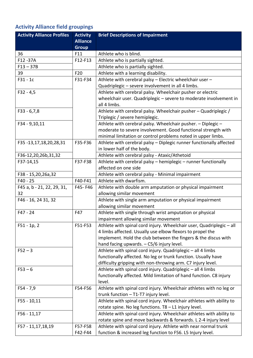# <span id="page-5-0"></span>**Activity Alliance field groupings**

| <b>Activity Alliance Profiles</b> | <b>Activity</b> | <b>Brief Descriptions of Impairment</b>                              |
|-----------------------------------|-----------------|----------------------------------------------------------------------|
|                                   | <b>Alliance</b> |                                                                      |
|                                   | <b>Group</b>    |                                                                      |
| 36                                | F11             | Athlete who is blind.                                                |
| F12-37A                           | F12-F13         | Athlete who is partially sighted.                                    |
| $F13 - 37B$                       |                 | Athlete who is partially sighted.                                    |
| 39                                | F20             | Athlete with a learning disability.                                  |
| $F31 - 1c$                        | F31-F34         | Athlete with cerebral palsy - Electric wheelchair user -             |
|                                   |                 | Quadriplegic - severe involvement in all 4 limbs.                    |
| $F32 - 4,5$                       |                 | Athlete with cerebral palsy. Wheelchair pusher or electric           |
|                                   |                 | wheelchair user. Quadriplegic - severe to moderate involvement in    |
|                                   |                 | all 4 limbs.                                                         |
| $F33 - 6,7,8$                     |                 | Athlete with cerebral palsy. Wheelchair pusher - Quadriplegic /      |
|                                   |                 | Triplegic / severe hemiplegic.                                       |
| F34 - 9,10,11                     |                 | Athlete with cerebral palsy. Wheelchair pusher. - Diplegic -         |
|                                   |                 | moderate to severe involvement. Good functional strength with        |
|                                   |                 | minimal limitation or control problems noted in upper limbs.         |
| F35-13,17,18,20,28,31             | F35-F36         | Athlete with cerebral palsy - Diplegic runner functionally affected  |
|                                   |                 | in lower half of the body.                                           |
| F36-12,20,26b,31,32               |                 | Athlete with cerebral palsy - Ataxic/Athetoid                        |
| F37-14,15                         | F37-F38         | Athlete with cerebral palsy - hemiplegic - runner functionally       |
|                                   |                 | affected on one side                                                 |
| F38 - 15,20,26a,32                |                 | Athlete with cerebral palsy - Minimal impairment                     |
| F40 - 25                          | F40-F41         | Athlete with dwarfism.                                               |
| F45 a, b - 21, 22, 29, 31,        | F45-F46         | Athlete with double arm amputation or physical impairment            |
| 32                                |                 | allowing similar movement                                            |
| F46 - 16, 24 31, 32               |                 | Athlete with single arm amputation or physical impairment            |
|                                   |                 | allowing similar movement                                            |
| $F47 - 24$                        | F47             | Athlete with single through wrist amputation or physical             |
|                                   |                 | impairment allowing similar movement                                 |
| $F51 - 1p, 2$                     | F51-F53         | Athlete with spinal cord injury. Wheelchair user, Quadriplegic - all |
|                                   |                 | 4 limbs affected. Usually use elbow flexors to propel the            |
|                                   |                 | implement. Hold the club between the fingers & the discus with       |
|                                   |                 | hand facing upwards. - C5/6 injury level.                            |
| $F52 - 3$                         |                 | Athlete with spinal cord injury. Quadriplegic - all 4 limbs          |
|                                   |                 | functionally affected. No leg or trunk function. Usually have        |
|                                   |                 | difficulty gripping with non-throwing arm. C7 injury level.          |
| $F53 - 6$                         |                 | Athlete with spinal cord injury. Quadriplegic - all 4 limbs          |
|                                   |                 | functionally affected. Mild limitation of hand function. C8 injury   |
|                                   |                 | level.                                                               |
| $F54 - 7,9$                       | F54-F56         | Athlete with spinal cord injury. Wheelchair athletes with no leg or  |
|                                   |                 | trunk function - T1-T7 injury level.                                 |
| $F55 - 10,11$                     |                 | Athlete with spinal cord injury. Wheelchair athletes with ability to |
|                                   |                 | rotate spine. No leg functions. T8 - L1 injury level.                |
| $F56 - 11,17$                     |                 | Athlete with spinal cord injury. Wheelchair athletes with ability to |
|                                   |                 | rotate spine and move backwards & forwards. L 2-4 injury level       |
| F57 - 11,17,18,19                 | F57-F58         | Athlete with spinal cord injury. Athlete with near normal trunk      |
|                                   | F42-F44         | function & increased leg function to F56. L5 Injury level.           |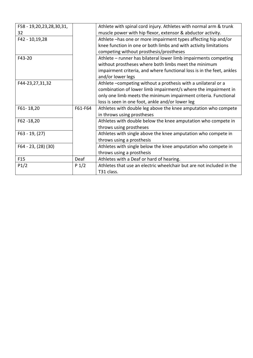| F58 - 19,20,23,28,30,31, |         | Athlete with spinal cord injury. Athletes with normal arm & trunk     |
|--------------------------|---------|-----------------------------------------------------------------------|
| 32                       |         | muscle power with hip flexor, extensor & abductor activity.           |
| F42 - 10,19,28           |         | Athlete -has one or more impairment types affecting hip and/or        |
|                          |         | knee function in one or both limbs and with activity limitations      |
|                          |         | competing without prosthesis/prostheses                               |
| F43-20                   |         | Athlete - runner has bilateral lower limb impairments competing       |
|                          |         | without prostheses where both limbs meet the minimum                  |
|                          |         | impairment criteria, and where functional loss is in the feet, ankles |
|                          |         | and/or lower legs                                                     |
| F44-23,27,31,32          |         | Athlete -competing without a prothesis with a unilateral or a         |
|                          |         | combination of lower limb impairment/s where the impairment in        |
|                          |         | only one limb meets the minimum impairment criteria. Functional       |
|                          |         | loss is seen in one foot, ankle and/or lower leg                      |
| F61-18,20                | F61-F64 | Athletes with double leg above the knee amputation who compete        |
|                          |         | in throws using prostheses                                            |
| F62-18,20                |         | Athletes with double below the knee amputation who compete in         |
|                          |         | throws using prostheses                                               |
| F63 - 19, (27)           |         | Athletes with single above the knee amputation who compete in         |
|                          |         | throws using a prosthesis                                             |
| F64 - 23, (28) (30)      |         | Athletes with single below the knee amputation who compete in         |
|                          |         | throws using a prosthesis                                             |
| F <sub>15</sub>          | Deaf    | Athletes with a Deaf or hard of hearing.                              |
| P1/2                     | $P_1/2$ | Athletes that use an electric wheelchair but are not included in the  |
|                          |         | T31 class.                                                            |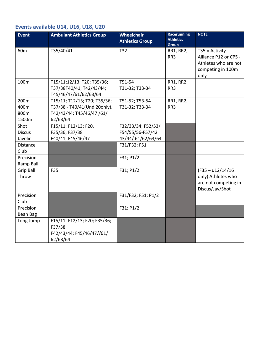## <span id="page-7-0"></span>**Events available U14, U16, U18, U20**

| <b>Event</b>                     | <b>Ambulant Athletics Group</b>                                                                       | Wheelchair<br><b>Athletics Group</b>                        | <b>Racerunning</b><br><b>Athletics</b><br>Group | <b>NOTE</b>                                                                                    |
|----------------------------------|-------------------------------------------------------------------------------------------------------|-------------------------------------------------------------|-------------------------------------------------|------------------------------------------------------------------------------------------------|
| 60 <sub>m</sub>                  | T35/40/41                                                                                             | T32                                                         | RR1, RR2,<br>RR3                                | $T35 =$ Activity<br>Alliance P12 or CP5 -<br>Athletes who are not<br>competing in 100m<br>only |
| 100m                             | T15/11;12/13; T20; T35/36;<br>T37/38T40/41; T42/43/44;<br>T45/46/47/61/62/63/64                       | T51-54<br>T31-32; T33-34                                    | RR1, RR2,<br>RR <sub>3</sub>                    |                                                                                                |
| 200m<br>400m<br>800m<br>1500m    | T15/11; T12/13; T20; T35/36;<br>T37/38 - T40/41(Und 20only).<br>T42/43/44; T45/46/47 /61/<br>62/63/64 | T51-52; T53-54<br>T31-32; T33-34                            | RR1, RR2,<br>RR3                                |                                                                                                |
| Shot<br><b>Discus</b><br>Javelin | F15/11; F12/13; F20.<br>F35/36; F37/38<br>F40/41; F45/46/47                                           | F32/33/34; F52/53/<br>F54/55/56-F57/42<br>43/44/61/62/63/64 |                                                 |                                                                                                |
| <b>Distance</b><br>Club          |                                                                                                       | F31/F32; F51                                                |                                                 |                                                                                                |
| Precision<br>Ramp Ball           |                                                                                                       | F31; P1/2                                                   |                                                 |                                                                                                |
| <b>Grip Ball</b><br>Throw        | F35                                                                                                   | F31; P1/2                                                   |                                                 | $(F35 - u12/14/16)$<br>only) Athletes who<br>are not competing in<br>Discus/Jav/Shot           |
| Precision<br>Club                |                                                                                                       | F31/F32; F51; P1/2                                          |                                                 |                                                                                                |
| Precision<br>Bean Bag            |                                                                                                       | F31; P1/2                                                   |                                                 |                                                                                                |
| Long Jump                        | F15/11; F12/13; F20; F35/36;<br>F37/38<br>F42/43/44; F45/46/47//61/<br>62/63/64                       |                                                             |                                                 |                                                                                                |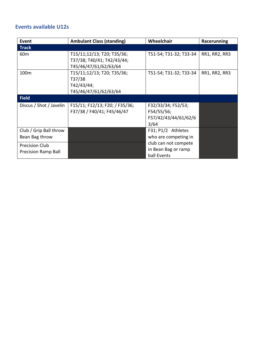## <span id="page-8-0"></span>**Events available U12s**

| Event                      | <b>Ambulant Class (standing)</b> | Wheelchair             | Racerunning   |
|----------------------------|----------------------------------|------------------------|---------------|
| <b>Track</b>               |                                  |                        |               |
| 60 <sub>m</sub>            | T15/11;12/13; T20; T35/36;       | T51-54; T31-32; T33-34 | RR1, RR2, RR3 |
|                            | T37/38; T40/41; T42/43/44;       |                        |               |
|                            | T45/46/47/61/62/63/64            |                        |               |
| 100 <sub>m</sub>           | T15/11;12/13; T20; T35/36;       | T51-54; T31-32; T33-34 | RR1, RR2, RR3 |
|                            | T37/38                           |                        |               |
|                            | T42/43/44;                       |                        |               |
|                            | T45/46/47/61/62/63/64            |                        |               |
| <b>Field</b>               |                                  |                        |               |
| Discus / Shot / Javelin    | F15/11; F12/13; F20; / F35/36;   | F32/33/34; F52/53;     |               |
|                            | F37/38 / F40/41; F45/46/47       | F54/55/56;             |               |
|                            |                                  | F57/42/43/44/61/62/6   |               |
|                            |                                  | 3/64                   |               |
| Club / Grip Ball throw     |                                  | F31; P1/2 Athletes     |               |
| Bean Bag throw             |                                  | who are competing in   |               |
| <b>Precision Club</b>      |                                  | club can not compete   |               |
| <b>Precision Ramp Ball</b> |                                  | in Bean Bag or ramp    |               |
|                            |                                  | ball Events            |               |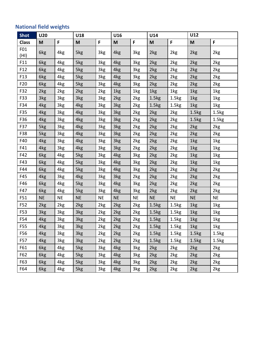## <span id="page-9-0"></span>**National field weights**

| <b>Shot</b>     | <b>U20</b> |           | U18       |           | U16             |           |                   | U14               |                   | U12               |  |
|-----------------|------------|-----------|-----------|-----------|-----------------|-----------|-------------------|-------------------|-------------------|-------------------|--|
| <b>Class</b>    | M          | F         | M         | F         | M               | F.        | M                 | F.                | M                 | F.                |  |
| F01             | 6kg        | 4kg       | 5kg       | 3kg       | 4kg             | 3kg       | 2kg               | 2kg               | 2kg               | 2kg               |  |
| (HI)            |            |           |           |           |                 |           |                   |                   |                   |                   |  |
| F11             | 6kg        | 4kg       | 5kg       | 3kg       | 4kg             | 3kg       | 2kg               | 2kg               | 2kg               | 2kg               |  |
| F <sub>12</sub> | 6kg        | 4kg       | 5kg       | 3kg       | 4kg             | 3kg       | 2kg               | 2kg               | 2kg               | 2kg               |  |
| F13             | 6kg        | 4kg       | 5kg       | 3kg       | 4kg             | 3kg       | 2kg               | 2kg               | 2kg               | 2kg               |  |
| F <sub>20</sub> | 6kg        | 4kg       | 5kg       | 3kg       | 4kg             | 3kg       | 2kg               | 2kg               | 2kg               | 2kg               |  |
| F32             | 2kg        | 2kg       | 2kg       | 2kg       | 1kg             | 1kg       | 1kg               | 1kg               | 1kg               | 1kg               |  |
| F33             | 3kg        | 3kg       | 3kg       | 3kg       | 2kg             | 2kg       | 1.5 <sub>kg</sub> | 1.5kg             | 1kg               | 1kg               |  |
| F34             | 4kg        | 3kg       | 4kg       | 3kg       | 3kg             | 2kg       | 1.5kg             | 1.5kg             | 1kg               | 1kg               |  |
| F35             | 4kg        | 3kg       | 4kg       | 3kg       | 3kg             | 2kg       | 2kg               | 2kg               | 1.5 <sub>kg</sub> | 1.5kg             |  |
| F36             | 4kg        | 3kg       | 4kg       | 3kg       | 3kg             | 2kg       | 2kg               | 2kg               | 1.5kg             | 1.5kg             |  |
| F37             | 5kg        | 3kg       | 4kg       | 3kg       | 3kg             | 2kg       | 2kg               | 2kg               | 2kg               | 2kg               |  |
| F38             | 5kg        | 3kg       | 4kg       | 3kg       | 3kg             | 2kg       | 2kg               | 2kg               | 2kg               | 2kg               |  |
| F40             | 4kg        | 3kg       | 4kg       | 3kg       | 3kg             | 2kg       | 2kg               | 2kg               | 1kg               | 1kg               |  |
| F41             | 4kg        | 3kg       | 4kg       | 3kg       | 3kg             | 2kg       | 2kg               | 2kg               | 1kg               | 1kg               |  |
| F42             | 6kg        | 4kg       | 5kg       | 3kg       | 4kg             | 3kg       | 2kg               | 2kg               | 1kg               | 1kg               |  |
| F43             | 6kg        | 4kg       | 5kg       | 3kg       | 4kg             | 3kg       | 2kg               | 2kg               | 1kg               | 1kg               |  |
| F44             | 6kg        | 4kg       | 5kg       | 3kg       | 4kg             | 3kg       | 2kg               | 2kg               | 2kg               | 2kg               |  |
| F45             | 4kg        | 3kg       | 4kg       | 3kg       | 3kg             | 2kg       | 2kg               | 2kg               | 2kg               | 2kg               |  |
| F46             | 6kg        | 4kg       | 5kg       | 3kg       | 4kg             | 3kg       | 2kg               | 2kg               | 2kg               | 2kg               |  |
| F47             | 6kg        | 4kg       | 5kg       | 3kg       | 4 <sub>kg</sub> | 3kg       | 2kg               | 2kg               | 2kg               | 2kg               |  |
| F51             | <b>NE</b>  | <b>NE</b> | <b>NE</b> | <b>NE</b> | <b>NE</b>       | <b>NE</b> | <b>NE</b>         | NE                | <b>NE</b>         | <b>NE</b>         |  |
| F52             | 2kg        | 2kg       | 2kg       | 2kg       | 2kg             | 2kg       | 1.5 <sub>kg</sub> | 1.5kg             | 1kg               | 1kg               |  |
| F53             | 3kg        | 3kg       | 3kg       | 2kg       | 2kg             | 2kg       | 1.5kg             | 1.5kg             | 1kg               | 1kg               |  |
| F54             | 4kg        | 3kg       | 3kg       | 2kg       | 2kg             | 2kg       | 1.5kg             | 1.5 <sub>kg</sub> | 1kg               | 1kg               |  |
| F55             | 4kg        | 3kg       | 3kg       | 2kg       | 2kg             | 2kg       | 1.5kg             | 1.5 <sub>kg</sub> | 1kg               | 1kg               |  |
| F56             | 4kg        | 3kg       | 3kg       | 2kg       | 2kg             | 2kg       | 1.5kg             | 1.5 <sub>kg</sub> | 1.5 <sub>kg</sub> | 1.5 <sub>kg</sub> |  |
| F57             | 4kg        | 3kg       | 3kg       | 2kg       | 2kg             | 2kg       | 1.5kg             | 1.5 <sub>kg</sub> | 1.5 <sub>kg</sub> | 1.5kg             |  |
| F61             | 6kg        | 4kg       | 5kg       | 3kg       | 4kg             | 3kg       | 2kg               | 2kg               | 2kg               | 2kg               |  |
| F62             | 6kg        | 4kg       | 5kg       | 3kg       | 4kg             | 3kg       | 2kg               | 2kg               | 2kg               | 2kg               |  |
| F63             | 6kg        | 4kg       | 5kg       | 3kg       | 4kg             | 3kg       | 2kg               | 2kg               | 2kg               | 2kg               |  |
| F64             | 6kg        | 4kg       | 5kg       | 3kg       | 4kg             | 3kg       | 2kg               | 2kg               | 2kg               | 2kg               |  |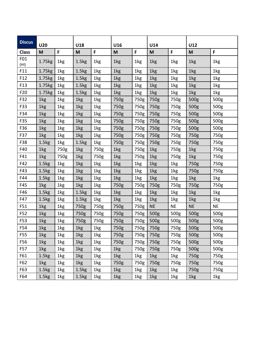| <b>Discus</b>   | <b>U20</b>        |      | U18               |      | U16  |      |           | U14       |           | U12       |  |
|-----------------|-------------------|------|-------------------|------|------|------|-----------|-----------|-----------|-----------|--|
| <b>Class</b>    | M                 | F    | M                 | F    | M    | F.   | M         | F         | M         | F         |  |
| F01<br>(HI)     | 1.75kg            | 1kg  | 1.5 <sub>kg</sub> | 1kg  | 1kg  | 1kg  | 1kg       | 1kg       | 1kg       | 1kg       |  |
| F11             | 1.75kg            | 1kg  | 1.5 <sub>kg</sub> | 1kg  | 1kg  | 1kg  | 1kg       | 1kg       | 1kg       | 1kg       |  |
| F <sub>12</sub> | 1.75kg            | 1kg  | 1.5 <sub>kg</sub> | 1kg  | 1kg  | 1kg  | 1kg       | 1kg       | 1kg       | 1kg       |  |
| F13             | 1.75kg            | 1kg  | 1.5 <sub>kg</sub> | 1kg  | 1kg  | 1kg  | 1kg       | 1kg       | 1kg       | 1kg       |  |
| F <sub>20</sub> | 1.75kg            | 1kg  | 1.5 <sub>kg</sub> | 1kg  | 1kg  | 1kg  | 1kg       | 1kg       | 1kg       | 1kg       |  |
| F32             | 1kg               | 1kg  | 1kg               | 1kg  | 750g | 750g | 750g      | 750g      | 500g      | 500g      |  |
| F33             | 1kg               | 1kg  | 1kg               | 1kg  | 750g | 750g | 750g      | 750g      | 500g      | 500g      |  |
| F34             | 1kg               | 1kg  | 1kg               | 1kg  | 750g | 750g | 750g      | 750g      | 500g      | 500g      |  |
| F35             | 1kg               | 1kg  | 1kg               | 1kg  | 750g | 750g | 750g      | 750g      | 500g      | 500g      |  |
| F36             | 1kg               | 1kg  | 1kg               | 1kg  | 750g | 750g | 750g      | 750g      | 500g      | 500g      |  |
| F37             | 1kg               | 1kg  | 1kg               | 1kg  | 750g | 750g | 750g      | 750g      | 750g      | 750g      |  |
| F38             | 1.5kg             | 1kg  | 1.5 <sub>kg</sub> | 1kg  | 750g | 750g | 750g      | 750g      | 750g      | 750g      |  |
| F40             | 1kg               | 750g | 1kg               | 750g | 1kg  | 750g | 1kg       | 750g      | 1kg       | 750g      |  |
| F41             | 1kg               | 750g | 1kg               | 750g | 1kg  | 750g | 1kg       | 750g      | 1kg       | 750g      |  |
| F42             | 1.5 <sub>kg</sub> | 1kg  | 1kg               | 1kg  | 1kg  | 1kg  | 1kg       | 1kg       | 750g      | 750g      |  |
| F43             | 1.5 <sub>kg</sub> | 1kg  | 1kg               | 1kg  | 1kg  | 1kg  | 1kg       | 1kg       | 750g      | 750g      |  |
| F44             | 1.5 <sub>kg</sub> | 1kg  | 1kg               | 1kg  | 1kg  | 1kg  | 1kg       | 1kg       | 1kg       | 1kg       |  |
| F45             | 1kg               | 1kg  | 1kg               | 1kg  | 750g | 750g | 750g      | 750g      | 750g      | 750g      |  |
| F46             | 1.5 <sub>kg</sub> | 1kg  | 1.5 <sub>kg</sub> | 1kg  | 1kg  | 1kg  | 1kg       | 1kg       | 1kg       | 1kg       |  |
| F47             | 1.5 <sub>kg</sub> | 1kg  | 1.5 <sub>kg</sub> | 1kg  | 1kg  | 1kg  | 1kg       | 1kg       | 1kg       | 1kg       |  |
| F51             | 1kg               | 1kg  | 750g              | 750g | 750g | 750g | <b>NE</b> | <b>NE</b> | <b>NE</b> | <b>NE</b> |  |
| F52             | 1kg               | 1kg  | 750g              | 750g | 750g | 750g | 500g      | 500g      | 500g      | 500g      |  |
| F53             | 1kg               | 1kg  | 750g              | 750g | 750g | 750g | 500g      | 500g      | 500g      | 500g      |  |
| F54             | 1kg               | 1kg  | 1kg               | 1kg  | 750g | 750g | 750g      | 750g      | 500g      | 500g      |  |
| F55             | 1kg               | 1kg  | 1kg               | 1kg  | 750g | 750g | 750g      | 750g      | 500g      | 500g      |  |
| F56             | 1kg               | 1kg  | 1kg               | 1kg  | 750g | 750g | 750g      | 750g      | 500g      | 500g      |  |
| F57             | 1kg               | 1kg  | 1kg               | 1kg  | 1kg  | 750g | 750g      | 750g      | 500g      | 500g      |  |
| F61             | 1.5 <sub>kg</sub> | 1kg  | 1kg               | 1kg  | 1kg  | 1kg  | 1kg       | 1kg       | 750g      | 750g      |  |
| F62             | 1kg               | 1kg  | 1kg               | 1kg  | 750g | 750g | 750g      | 750g      | 750g      | 750g      |  |
| F63             | 1.5 <sub>kg</sub> | 1kg  | 1.5 <sub>kg</sub> | 1kg  | 1kg  | 1kg  | 1kg       | 1kg       | 750g      | 750g      |  |
| F64             | 1.5 <sub>kg</sub> | 1kg  | 1.5kg             | 1kg  | 1kg  | 1kg  | 1kg       | 1kg       | 1kg       | 1kg       |  |